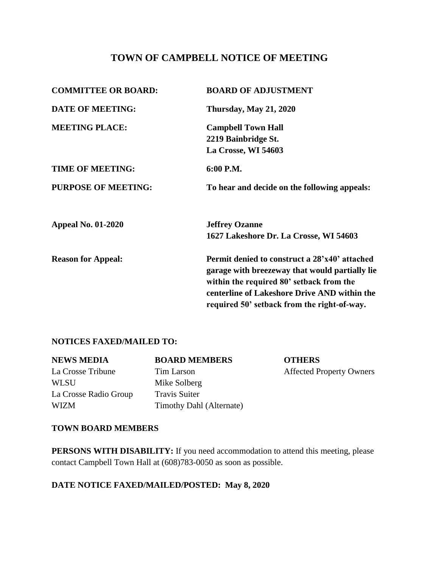# **TOWN OF CAMPBELL NOTICE OF MEETING**

| <b>COMMITTEE OR BOARD:</b> | <b>BOARD OF ADJUSTMENT</b>                                                                                                                                                                  |  |
|----------------------------|---------------------------------------------------------------------------------------------------------------------------------------------------------------------------------------------|--|
| <b>DATE OF MEETING:</b>    | <b>Thursday, May 21, 2020</b>                                                                                                                                                               |  |
| <b>MEETING PLACE:</b>      | <b>Campbell Town Hall</b>                                                                                                                                                                   |  |
|                            | 2219 Bainbridge St.                                                                                                                                                                         |  |
|                            | La Crosse, WI 54603                                                                                                                                                                         |  |
| <b>TIME OF MEETING:</b>    | 6:00 P.M.                                                                                                                                                                                   |  |
| <b>PURPOSE OF MEETING:</b> | To hear and decide on the following appeals:                                                                                                                                                |  |
| <b>Appeal No. 01-2020</b>  | <b>Jeffrey Ozanne</b>                                                                                                                                                                       |  |
|                            | 1627 Lakeshore Dr. La Crosse, WI 54603                                                                                                                                                      |  |
| <b>Reason for Appeal:</b>  | Permit denied to construct a 28'x40' attached<br>garage with breezeway that would partially lie<br>within the required 80' setback from the<br>centerline of Lakeshore Drive AND within the |  |
|                            | required 50' setback from the right-of-way.                                                                                                                                                 |  |

## **NOTICES FAXED/MAILED TO:**

| <b>NEWS MEDIA</b>     | <b>BOARD MEMBERS</b>     | <b>OTHERS</b>                   |
|-----------------------|--------------------------|---------------------------------|
| La Crosse Tribune     | Tim Larson               | <b>Affected Property Owners</b> |
| <b>WLSU</b>           | Mike Solberg             |                                 |
| La Crosse Radio Group | <b>Travis Suiter</b>     |                                 |
| <b>WIZM</b>           | Timothy Dahl (Alternate) |                                 |

### **TOWN BOARD MEMBERS**

**PERSONS WITH DISABILITY:** If you need accommodation to attend this meeting, please contact Campbell Town Hall at (608)783-0050 as soon as possible.

# **DATE NOTICE FAXED/MAILED/POSTED: May 8, 2020**